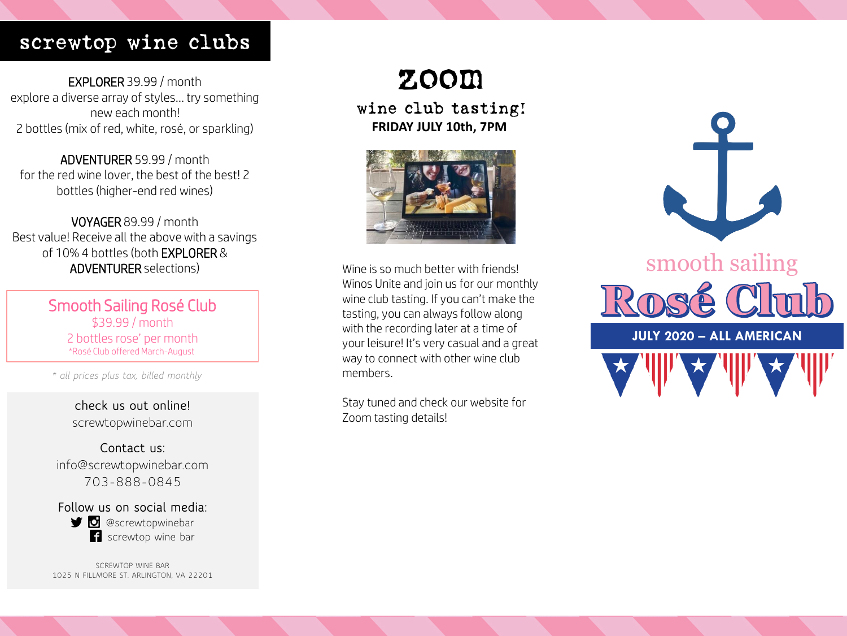# screwtop wine clubs

EXPLORER 39.99 / month explore a diverse array of styles… try something new each month! 2 bottles (mix of red, white, rosé, or sparkling)

ADVENTURER 59.99 / month for the red wine lover, the best of the best! 2 bottles (higher-end red wines)

VOYAGER 89.99 / month Best value! Receive all the above with a savings of 10% 4 bottles (both EXPLORER & ADVENTURER selections)

> Smooth Sailing Rosé Club \$39.99 / month 2 bottles rose' per month \*Rosé Club offered March-August

*\* all prices plus tax, billed monthly*

**check us out online!** screwtopwinebar.com

**Contact us:** info@screwtopwinebar.com 703-888-0845

**Follow us on social media: D** @screwtopwinebar **f** screwtop wine bar

SCREWTOP WINE BAR 1025 N FILLMORE ST. ARLINGTON, VA 22201

# zoom

wine club tasting! **FRIDAY JULY 10th, 7PM**



Wine is so much better with friends! Winos Unite and join us for our monthly wine club tasting. If you can't make the tasting, you can always follow along with the recording later at a time of your leisure! It's very casual and a great way to connect with other wine club members.

Stay tuned and check our website for Zoom tasting details!